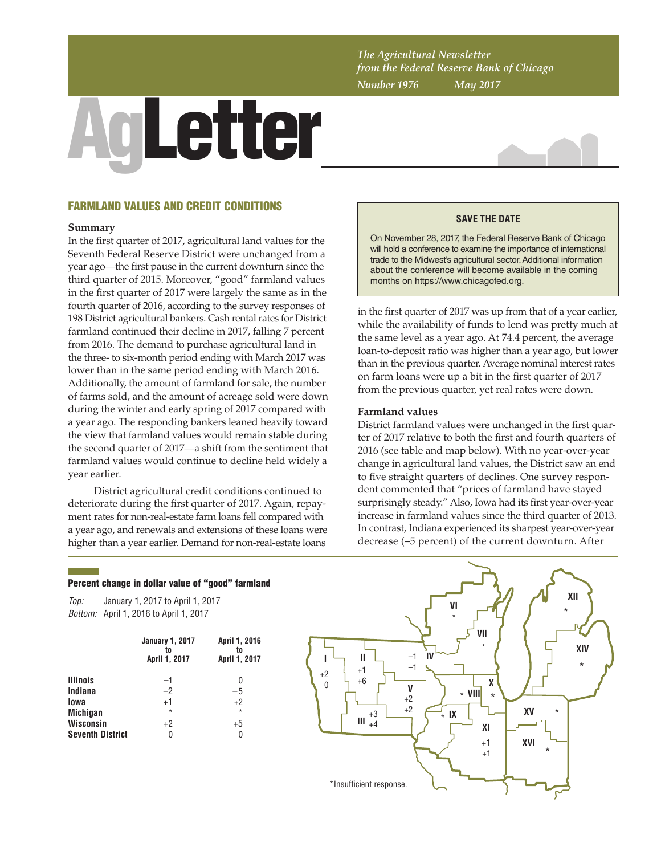*The Agricultural Newsletter from the Federal Reserve Bank of Chicago Number 1976 May 2017*

# AgLetter



## FARMLAND VALUES AND CREDIT CONDITIONS

#### **Summary**

In the first quarter of 2017, agricultural land values for the Seventh Federal Reserve District were unchanged from a year ago—the first pause in the current downturn since the third quarter of 2015. Moreover, "good" farmland values in the first quarter of 2017 were largely the same as in the fourth quarter of 2016, according to the survey responses of 198 District agricultural bankers. Cash rental rates for District farmland continued their decline in 2017, falling 7 percent from 2016. The demand to purchase agricultural land in the three- to six-month period ending with March 2017 was lower than in the same period ending with March 2016. Additionally, the amount of farmland for sale, the number of farms sold, and the amount of acreage sold were down during the winter and early spring of 2017 compared with a year ago. The responding bankers leaned heavily toward the view that farmland values would remain stable during the second quarter of 2017—a shift from the sentiment that farmland values would continue to decline held widely a year earlier.

District agricultural credit conditions continued to deteriorate during the first quarter of 2017. Again, repayment rates for non-real-estate farm loans fell compared with a year ago, and renewals and extensions of these loans were higher than a year earlier. Demand for non-real-estate loans

# **SAVE THE DATE**

On November 28, 2017, the Federal Reserve Bank of Chicago will hold a conference to examine the importance of international trade to the Midwest's agricultural sector. Additional information about the conference will become available in the coming months on<https://www.chicagofed.org>.

in the first quarter of 2017 was up from that of a year earlier, while the availability of funds to lend was pretty much at the same level as a year ago. At 74.4 percent, the average loan-to-deposit ratio was higher than a year ago, but lower than in the previous quarter. Average nominal interest rates on farm loans were up a bit in the first quarter of 2017 from the previous quarter, yet real rates were down.

#### **Farmland values**

District farmland values were unchanged in the first quarter of 2017 relative to both the first and fourth quarters of 2016 (see table and map below). With no year-over-year change in agricultural land values, the District saw an end to five straight quarters of declines. One survey respondent commented that "prices of farmland have stayed surprisingly steady." Also, Iowa had its first year-over-year increase in farmland values since the third quarter of 2013. In contrast, Indiana experienced its sharpest year-over-year decrease (–5 percent) of the current downturn. After

#### Percent change in dollar value of "good" farmland

*Top: Bottom:* April 1, 2016 to April 1, 2017 January 1, 2017 to April 1, 2017

|                         | <b>January 1, 2017</b><br>to<br>April 1, 2017 | April 1, 2016<br>tn<br>April 1, 2017 |  |  |
|-------------------------|-----------------------------------------------|--------------------------------------|--|--|
| <b>Illinois</b>         | $-1$                                          | N                                    |  |  |
| Indiana                 | $-2$                                          | $-5$                                 |  |  |
| lowa                    | $+1$                                          | $+2$                                 |  |  |
| <b>Michigan</b>         | $\star$                                       | $\star$                              |  |  |
| <b>Wisconsin</b>        | $+2$                                          | $+5$                                 |  |  |
| <b>Seventh District</b> |                                               |                                      |  |  |

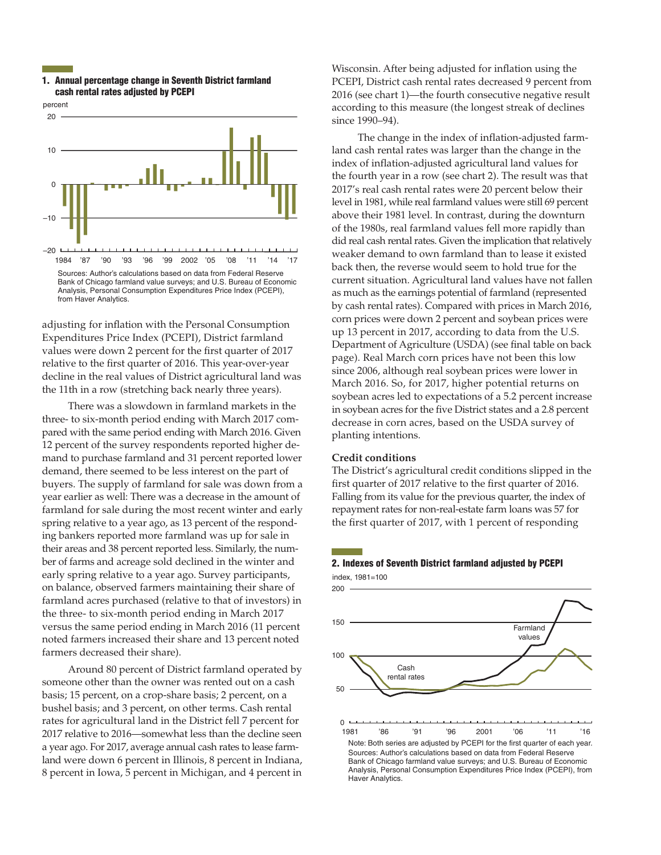#### 1. Annual percentage change in Seventh District farmland cash rental rates adjusted by PCEPI



adjusting for inflation with the Personal Consumption Expenditures Price Index (PCEPI), District farmland values were down 2 percent for the first quarter of 2017 relative to the first quarter of 2016. This year-over-year decline in the real values of District agricultural land was the 11th in a row (stretching back nearly three years).

There was a slowdown in farmland markets in the three- to six-month period ending with March 2017 compared with the same period ending with March 2016. Given 12 percent of the survey respondents reported higher demand to purchase farmland and 31 percent reported lower demand, there seemed to be less interest on the part of buyers. The supply of farmland for sale was down from a year earlier as well: There was a decrease in the amount of farmland for sale during the most recent winter and early spring relative to a year ago, as 13 percent of the responding bankers reported more farmland was up for sale in their areas and 38 percent reported less. Similarly, the number of farms and acreage sold declined in the winter and early spring relative to a year ago. Survey participants, on balance, observed farmers maintaining their share of farmland acres purchased (relative to that of investors) in the three- to six-month period ending in March 2017 versus the same period ending in March 2016 (11 percent noted farmers increased their share and 13 percent noted farmers decreased their share).

Around 80 percent of District farmland operated by someone other than the owner was rented out on a cash basis; 15 percent, on a crop-share basis; 2 percent, on a bushel basis; and 3 percent, on other terms. Cash rental rates for agricultural land in the District fell 7 percent for 2017 relative to 2016—somewhat less than the decline seen a year ago. For 2017, average annual cash rates to lease farmland were down 6 percent in Illinois, 8 percent in Indiana, 8 percent in Iowa, 5 percent in Michigan, and 4 percent in

Wisconsin. After being adjusted for inflation using the PCEPI, District cash rental rates decreased 9 percent from 2016 (see chart 1)—the fourth consecutive negative result according to this measure (the longest streak of declines since 1990–94).

The change in the index of inflation-adjusted farmland cash rental rates was larger than the change in the index of inflation-adjusted agricultural land values for the fourth year in a row (see chart 2). The result was that 2017's real cash rental rates were 20 percent below their level in 1981, while real farmland values were still 69 percent above their 1981 level. In contrast, during the downturn of the 1980s, real farmland values fell more rapidly than did real cash rental rates. Given the implication that relatively weaker demand to own farmland than to lease it existed back then, the reverse would seem to hold true for the current situation. Agricultural land values have not fallen as much as the earnings potential of farmland (represented by cash rental rates). Compared with prices in March 2016, corn prices were down 2 percent and soybean prices were up 13 percent in 2017, according to data from the U.S. Department of Agriculture (USDA) (see final table on back page). Real March corn prices have not been this low since 2006, although real soybean prices were lower in March 2016. So, for 2017, higher potential returns on soybean acres led to expectations of a 5.2 percent increase in soybean acres for the five District states and a 2.8 percent decrease in corn acres, based on the USDA survey of planting intentions.

#### **Credit conditions**

The District's agricultural credit conditions slipped in the first quarter of 2017 relative to the first quarter of 2016. Falling from its value for the previous quarter, the index of repayment rates for non-real-estate farm loans was 57 for the first quarter of 2017, with 1 percent of responding

### 2. Indexes of Seventh District farmland adjusted by PCEPI  $index$  1981=100

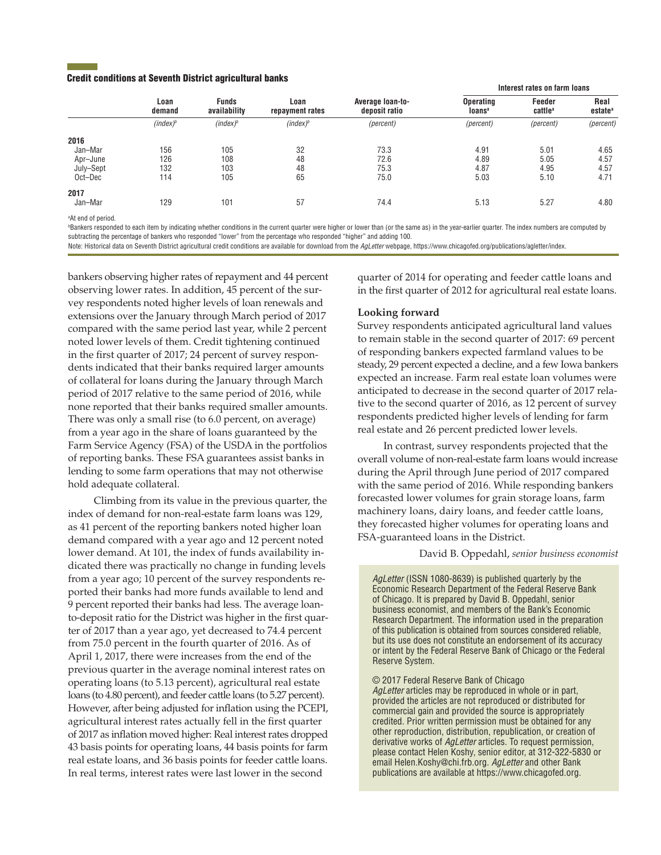#### Credit conditions at Seventh District agricultural banks

|           | Loan<br>demand | <b>Funds</b><br>availability | Loan<br>repayment rates | Average loan-to-<br>deposit ratio | Interest rates on farm loans                  |                               |                             |
|-----------|----------------|------------------------------|-------------------------|-----------------------------------|-----------------------------------------------|-------------------------------|-----------------------------|
|           |                |                              |                         |                                   | <b>Operating</b><br><b>loans</b> <sup>a</sup> | Feeder<br>cattle <sup>a</sup> | Real<br>estate <sup>a</sup> |
|           | $(index)^b$    | $(index)^b$                  | $(index)^b$             | (percent)                         | (percent)                                     | (percent)                     | (percent)                   |
| 2016      |                |                              |                         |                                   |                                               |                               |                             |
| Jan-Mar   | 156            | 105                          | 32                      | 73.3                              | 4.91                                          | 5.01                          | 4.65                        |
| Apr-June  | 126            | 108                          | 48                      | 72.6                              | 4.89                                          | 5.05                          | 4.57                        |
| July-Sept | 132            | 103                          | 48                      | 75.3                              | 4.87                                          | 4.95                          | 4.57                        |
| Oct-Dec   | 114            | 105                          | 65                      | 75.0                              | 5.03                                          | 5.10                          | 4.71                        |
| 2017      |                |                              |                         |                                   |                                               |                               |                             |
| Jan-Mar   | 129            | 101                          | 57                      | 74.4                              | 5.13                                          | 5.27                          | 4.80                        |
|           |                |                              |                         |                                   |                                               |                               |                             |

a At end of period.

**Bankers responded to each item by indicating whether conditions in the current quarter were higher or lower than (or the same as) in the year-earlier quarter. The index numbers are computed by** subtracting the percentage of bankers who responded "lower" from the percentage who responded "higher" and adding 100.

Note: Historical data on Seventh District agricultural credit conditions are available for download from the *AgLetter* webpage, https://www.chicagofed.org/[publications/agletter/index.](https://www.chicagofed.org/publications/agletter/index)

bankers observing higher rates of repayment and 44 percent observing lower rates. In addition, 45 percent of the survey respondents noted higher levels of loan renewals and extensions over the January through March period of 2017 compared with the same period last year, while 2 percent noted lower levels of them. Credit tightening continued in the first quarter of 2017; 24 percent of survey respondents indicated that their banks required larger amounts of collateral for loans during the January through March period of 2017 relative to the same period of 2016, while none reported that their banks required smaller amounts. There was only a small rise (to 6.0 percent, on average) from a year ago in the share of loans guaranteed by the Farm Service Agency (FSA) of the USDA in the portfolios of reporting banks. These FSA guarantees assist banks in lending to some farm operations that may not otherwise hold adequate collateral.

Climbing from its value in the previous quarter, the index of demand for non-real-estate farm loans was 129, as 41 percent of the reporting bankers noted higher loan demand compared with a year ago and 12 percent noted lower demand. At 101, the index of funds availability indicated there was practically no change in funding levels from a year ago; 10 percent of the survey respondents reported their banks had more funds available to lend and 9 percent reported their banks had less. The average loanto-deposit ratio for the District was higher in the first quarter of 2017 than a year ago, yet decreased to 74.4 percent from 75.0 percent in the fourth quarter of 2016. As of April 1, 2017, there were increases from the end of the previous quarter in the average nominal interest rates on operating loans (to 5.13 percent), agricultural real estate loans (to 4.80 percent), and feeder cattle loans (to 5.27 percent). However, after being adjusted for inflation using the PCEPI, agricultural interest rates actually fell in the first quarter of 2017 as inflation moved higher: Real interest rates dropped 43 basis points for operating loans, 44 basis points for farm real estate loans, and 36 basis points for feeder cattle loans. In real terms, interest rates were last lower in the second

quarter of 2014 for operating and feeder cattle loans and in the first quarter of 2012 for agricultural real estate loans.

#### **Looking forward**

Survey respondents anticipated agricultural land values to remain stable in the second quarter of 2017: 69 percent of responding bankers expected farmland values to be steady, 29 percent expected a decline, and a few Iowa bankers expected an increase. Farm real estate loan volumes were anticipated to decrease in the second quarter of 2017 relative to the second quarter of 2016, as 12 percent of survey respondents predicted higher levels of lending for farm real estate and 26 percent predicted lower levels.

In contrast, survey respondents projected that the overall volume of non-real-estate farm loans would increase during the April through June period of 2017 compared with the same period of 2016. While responding bankers forecasted lower volumes for grain storage loans, farm machinery loans, dairy loans, and feeder cattle loans, they forecasted higher volumes for operating loans and FSA-guaranteed loans in the District.

David B. Oppedahl, *senior business economist*

*AgLetter* (ISSN 1080-8639) is published quarterly by the Economic Research Department of the Federal Reserve Bank of Chicago. It is prepared by David B. Oppedahl, senior business economist, and members of the Bank's Economic Research Department. The information used in the preparation of this publication is obtained from sources considered reliable, but its use does not constitute an endorsement of its accuracy or intent by the Federal Reserve Bank of Chicago or the Federal Reserve System.

#### © 2017 Federal Reserve Bank of Chicago

*AgLetter* articles may be reproduced in whole or in part, provided the articles are not reproduced or distributed for commercial gain and provided the source is appropriately credited. Prior written permission must be obtained for any other reproduction, distribution, republication, or creation of derivative works of *AgLetter* articles. To request permission, please contact Helen Koshy, senior editor, at 312-322-5830 or email Helen.Koshy@chi.frb.org. *AgLetter* and other Bank publications are available at https:/[/www.chicagofed.org](https://www.chicagofed.org).